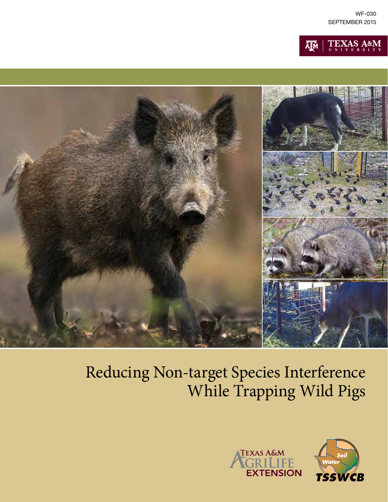





# Reducing Non-target Species Interference While Trapping Wild Pigs



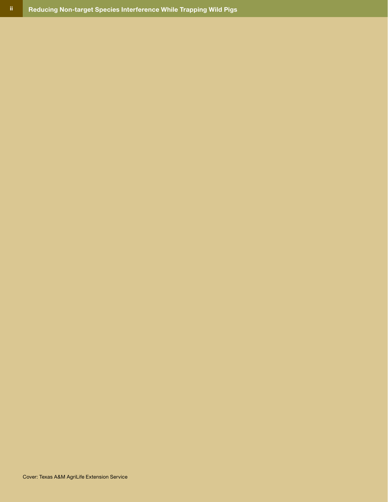Cover: Texas A&M AgriLife Extension Service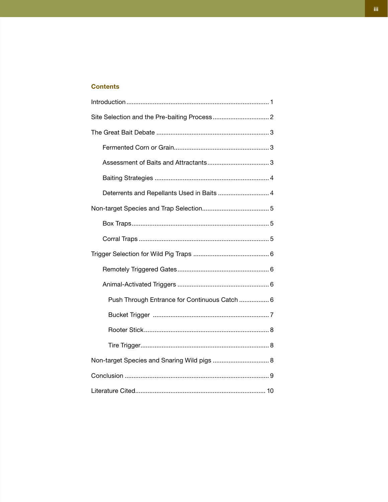# **Contents**

| Deterrents and Repellants Used in Baits  4    |  |
|-----------------------------------------------|--|
|                                               |  |
|                                               |  |
|                                               |  |
|                                               |  |
|                                               |  |
|                                               |  |
| Push Through Entrance for Continuous Catch  6 |  |
|                                               |  |
|                                               |  |
|                                               |  |
| Non-target Species and Snaring Wild pigs  8   |  |
|                                               |  |
|                                               |  |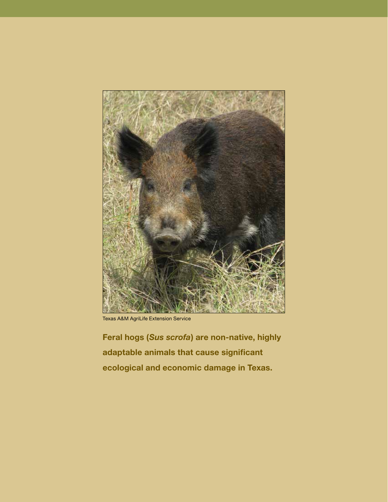

Texas A&M AgriLife Extension Service

**Feral hogs (***Sus scrofa***) are non-native, highly adaptable animals that cause significant ecological and economic damage in Texas.**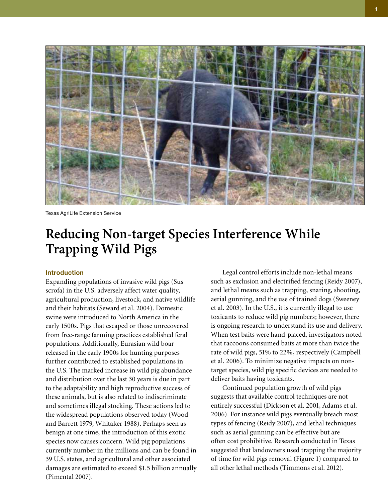

Texas AgriLife Extension Service

# **Reducing Non-target Species Interference While Trapping Wild Pigs**

# **Introduction**

Expanding populations of invasive wild pigs (Sus scrofa) in the U.S. adversely affect water quality, agricultural production, livestock, and native wildlife and their habitats (Seward et al. 2004). Domestic swine were introduced to North America in the early 1500s. Pigs that escaped or those unrecovered from free-range farming practices established feral populations. Additionally, Eurasian wild boar released in the early 1900s for hunting purposes further contributed to established populations in the U.S. The marked increase in wild pig abundance and distribution over the last 30 years is due in part to the adaptability and high reproductive success of these animals, but is also related to indiscriminate and sometimes illegal stocking. These actions led to the widespread populations observed today (Wood and Barrett 1979, Whitaker 1988). Perhaps seen as benign at one time, the introduction of this exotic species now causes concern. Wild pig populations currently number in the millions and can be found in 39 U.S. states, and agricultural and other associated damages are estimated to exceed \$1.5 billion annually (Pimental 2007).

Legal control efforts include non-lethal means such as exclusion and electrified fencing (Reidy 2007), and lethal means such as trapping, snaring, shooting, aerial gunning, and the use of trained dogs (Sweeney et al. 2003). In the U.S., it is currently illegal to use toxicants to reduce wild pig numbers; however, there is ongoing research to understand its use and delivery. When test baits were hand-placed, investigators noted that raccoons consumed baits at more than twice the rate of wild pigs, 51% to 22%, respectively (Campbell et al. 2006). To minimize negative impacts on nontarget species, wild pig specific devices are needed to deliver baits having toxicants.

Continued population growth of wild pigs suggests that available control techniques are not entirely successful (Dickson et al. 2001, Adams et al. 2006). For instance wild pigs eventually breach most types of fencing (Reidy 2007), and lethal techniques such as aerial gunning can be effective but are often cost prohibitive. Research conducted in Texas suggested that landowners used trapping the majority of time for wild pigs removal (Figure 1) compared to all other lethal methods (Timmons et al. 2012).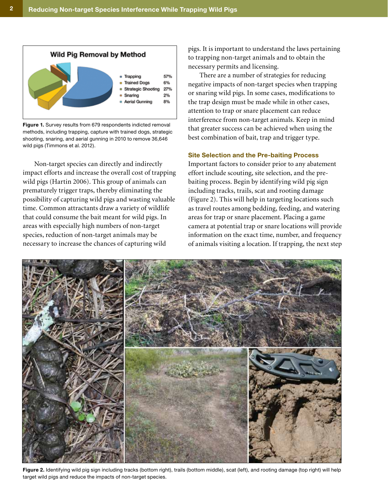

**Figure 1.** Survey results from 679 respondents indicted removal methods, including trapping, capture with trained dogs, strategic shooting, snaring, and aerial gunning in 2010 to remove 36,646 wild pigs (Timmons et al. 2012).

Non-target species can directly and indirectly impact efforts and increase the overall cost of trapping wild pigs (Hartin 2006). This group of animals can prematurely trigger traps, thereby eliminating the possibility of capturing wild pigs and wasting valuable time. Common attractants draw a variety of wildlife that could consume the bait meant for wild pigs. In areas with especially high numbers of non-target species, reduction of non-target animals may be necessary to increase the chances of capturing wild

pigs. It is important to understand the laws pertaining to trapping non-target animals and to obtain the necessary permits and licensing.

There are a number of strategies for reducing negative impacts of non-target species when trapping or snaring wild pigs. In some cases, modifications to the trap design must be made while in other cases, attention to trap or snare placement can reduce interference from non-target animals. Keep in mind that greater success can be achieved when using the best combination of bait, trap and trigger type.

# **Site Selection and the Pre-baiting Process**

Important factors to consider prior to any abatement effort include scouting, site selection, and the prebaiting process. Begin by identifying wild pig sign including tracks, trails, scat and rooting damage (Figure 2). This will help in targeting locations such as travel routes among bedding, feeding, and watering areas for trap or snare placement. Placing a game camera at potential trap or snare locations will provide information on the exact time, number, and frequency of animals visiting a location. If trapping, the next step



**Figure 2.** Identifying wild pig sign including tracks (bottom right), trails (bottom middle), scat (left), and rooting damage (top right) will help target wild pigs and reduce the impacts of non-target species.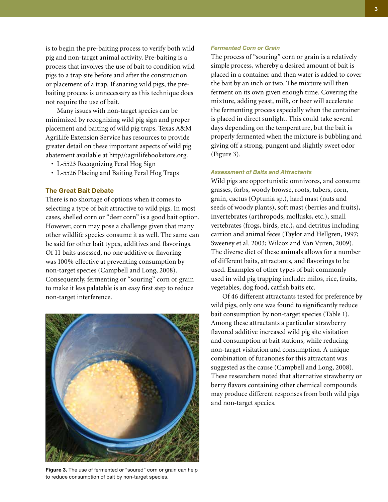is to begin the pre-baiting process to verify both wild pig and non-target animal activity. Pre-baiting is a process that involves the use of bait to condition wild pigs to a trap site before and after the construction or placement of a trap. If snaring wild pigs, the prebaiting process is unnecessary as this technique does not require the use of bait.

Many issues with non-target species can be minimized by recognizing wild pig sign and proper placement and baiting of wild pig traps. Texas A&M AgriLife Extension Service has resources to provide greater detail on these important aspects of wild pig abatement available at http//:agrilifebookstore.org.

- L-5523 Recognizing Feral Hog Sign
- L-5526 Placing and Baiting Feral Hog Traps

#### **The Great Bait Debate**

There is no shortage of options when it comes to selecting a type of bait attractive to wild pigs. In most cases, shelled corn or "deer corn" is a good bait option. However, corn may pose a challenge given that many other wildlife species consume it as well. The same can be said for other bait types, additives and flavorings. Of 11 baits assessed, no one additive or flavoring was 100% effective at preventing consumption by non-target species (Campbell and Long, 2008). Consequently, fermenting or "souring" corn or grain to make it less palatable is an easy first step to reduce non-target interference.



**Figure 3.** The use of fermented or "soured" corn or grain can help to reduce consumption of bait by non-target species.

#### *Fermented Corn or Grain*

The process of "souring" corn or grain is a relatively simple process, whereby a desired amount of bait is placed in a container and then water is added to cover the bait by an inch or two. The mixture will then ferment on its own given enough time. Covering the mixture, adding yeast, milk, or beer will accelerate the fermenting process especially when the container is placed in direct sunlight. This could take several days depending on the temperature, but the bait is properly fermented when the mixture is bubbling and giving off a strong, pungent and slightly sweet odor (Figure 3).

#### *Assessment of Baits and Attractants*

Wild pigs are opportunistic omnivores, and consume grasses, forbs, woody browse, roots, tubers, corn, grain, cactus (Optunia sp.), hard mast (nuts and seeds of woody plants), soft mast (berries and fruits), invertebrates (arthropods, mollusks, etc.), small vertebrates (frogs, birds, etc.), and detritus including carrion and animal feces (Taylor and Hellgren, 1997; Sweeney et al. 2003; Wilcox and Van Vuren, 2009). The diverse diet of these animals allows for a number of different baits, attractants, and flavorings to be used. Examples of other types of bait commonly used in wild pig trapping include: milos, rice, fruits, vegetables, dog food, catfish baits etc.

Of 46 different attractants tested for preference by wild pigs, only one was found to significantly reduce bait consumption by non-target species (Table 1). Among these attractants a particular strawberry flavored additive increased wild pig site visitation and consumption at bait stations, while reducing non-target visitation and consumption. A unique combination of furanones for this attractant was suggested as the cause (Campbell and Long, 2008). These researchers noted that alternative strawberry or berry flavors containing other chemical compounds may produce different responses from both wild pigs and non-target species.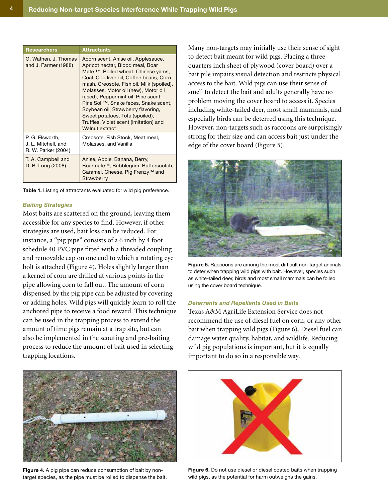| <b>Researchers</b>                                            | <b>Attractants</b>                                                                                                                                                                                                                                                                                                                                                                                                                                                  |
|---------------------------------------------------------------|---------------------------------------------------------------------------------------------------------------------------------------------------------------------------------------------------------------------------------------------------------------------------------------------------------------------------------------------------------------------------------------------------------------------------------------------------------------------|
| G. Wathen, J. Thomas<br>and J. Farmer (1988)                  | Acorn scent, Anise oil, Applesauce,<br>Apricot nectar, Blood meal, Boar<br>Mate ™, Boiled wheat, Chinese yams,<br>Coal, Cod liver oil, Coffee beans, Corn<br>mash, Creosote, Fish oil, Milk (spoiled),<br>Molasses, Motor oil (new), Motor oil<br>(used), Peppermint oil, Pine scent,<br>Pine Sol ™, Snake feces, Snake scent,<br>Soybean oil, Strawberry flavoring,<br>Sweet potatoes, Tofu (spoiled),<br>Truffles, Violet scent (imitation) and<br>Walnut extract |
| P. G. Elsworth,<br>J. L. Mitchell, and<br>R. W. Parker (2004) | Creosote, Fish Stock, Meat meal,<br>Molasses, and Vanilla                                                                                                                                                                                                                                                                                                                                                                                                           |
| T. A. Campbell and<br>D. B. Long (2008)                       | Anise, Apple, Banana, Berry,<br>Boarmate <sup>™</sup> , Bubblegum, Butterscotch,<br>Caramel, Cheese, Pig Frenzy™ and<br>Strawberry                                                                                                                                                                                                                                                                                                                                  |

**Table 1.** Listing of attractants evaluated for wild pig preference.

#### *Baiting Strategies*

Most baits are scattered on the ground, leaving them accessible for any species to find. However, if other strategies are used, bait loss can be reduced. For instance, a "pig pipe" consists of a 6 inch by 4 foot schedule 40 PVC pipe fitted with a threaded coupling and removable cap on one end to which a rotating eye bolt is attached (Figure 4). Holes slightly larger than a kernel of corn are drilled at various points in the pipe allowing corn to fall out. The amount of corn dispensed by the pig pipe can be adjusted by covering or adding holes. Wild pigs will quickly learn to roll the anchored pipe to receive a food reward. This technique can be used in the trapping process to extend the amount of time pigs remain at a trap site, but can also be implemented in the scouting and pre-baiting process to reduce the amount of bait used in selecting trapping locations.



**Figure 4.** A pig pipe can reduce consumption of bait by nontarget species, as the pipe must be rolled to dispense the bait.

Many non-targets may initially use their sense of sight to detect bait meant for wild pigs. Placing a threequarters inch sheet of plywood (cover board) over a bait pile impairs visual detection and restricts physical access to the bait. Wild pigs can use their sense of smell to detect the bait and adults generally have no problem moving the cover board to access it. Species including white-tailed deer, most small mammals, and especially birds can be deterred using this technique. However, non-targets such as raccoons are surprisingly strong for their size and can access bait just under the edge of the cover board (Figure 5).



**Figure 5.** Raccoons are among the most difficult non-target animals to deter when trapping wild pigs with bait. However, species such as white-tailed deer, birds and most small mammals can be foiled using the cover board technique.

## *Deterrents and Repellants Used in Baits*

Texas A&M AgriLife Extension Service does not recommend the use of diesel fuel on corn, or any other bait when trapping wild pigs (Figure 6). Diesel fuel can damage water quality, habitat, and wildlife. Reducing wild pig populations is important, but it is equally important to do so in a responsible way.



**Figure 6.** Do not use diesel or diesel coated baits when trapping wild pigs, as the potential for harm outweighs the gains.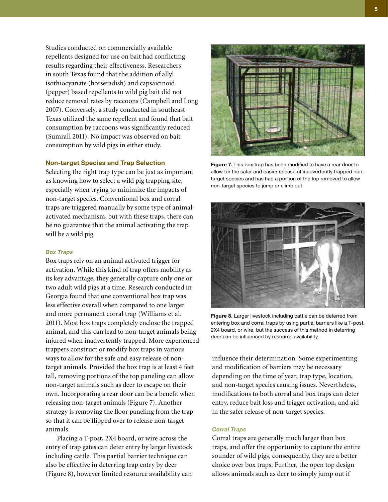Studies conducted on commercially available repellents designed for use on bait had conflicting results regarding their effectiveness. Researchers in south Texas found that the addition of allyl isothiocyanate (horseradish) and capsaicinoid (pepper) based repellents to wild pig bait did not reduce removal rates by raccoons (Campbell and Long 2007). Conversely, a study conducted in southeast Texas utilized the same repellent and found that bait consumption by raccoons was significantly reduced (Sumrall 2011). No impact was observed on bait consumption by wild pigs in either study.

#### **Non-target Species and Trap Selection**

Selecting the right trap type can be just as important as knowing how to select a wild pig trapping site, especially when trying to minimize the impacts of non-target species. Conventional box and corral traps are triggered manually by some type of animalactivated mechanism, but with these traps, there can be no guarantee that the animal activating the trap will be a wild pig.

#### *Box Traps*

Box traps rely on an animal activated trigger for activation. While this kind of trap offers mobility as its key advantage, they generally capture only one or two adult wild pigs at a time. Research conducted in Georgia found that one conventional box trap was less effective overall when compared to one larger and more permanent corral trap (Williams et al. 2011). Most box traps completely enclose the trapped animal, and this can lead to non-target animals being injured when inadvertently trapped. More experienced trappers construct or modify box traps in various ways to allow for the safe and easy release of nontarget animals. Provided the box trap is at least 4 feet tall, removing portions of the top paneling can allow non-target animals such as deer to escape on their own. Incorporating a rear door can be a benefit when releasing non-target animals (Figure 7). Another strategy is removing the floor paneling from the trap so that it can be flipped over to release non-target animals.

Placing a T-post, 2X4 board, or wire across the entry of trap gates can deter entry by larger livestock including cattle. This partial barrier technique can also be effective in deterring trap entry by deer (Figure 8), however limited resource availability can



**Figure 7.** This box trap has been modified to have a rear door to allow for the safer and easier release of inadvertently trapped nontarget species and has had a portion of the top removed to allow non-target species to jump or climb out.



**Figure 8.** Larger livestock including cattle can be deterred from entering box and corral traps by using partial barriers like a T-post, 2X4 board, or wire, but the success of this method in deterring deer can be influenced by resource availability.

influence their determination. Some experimenting and modification of barriers may be necessary depending on the time of year, trap type, location, and non-target species causing issues. Nevertheless, modifications to both corral and box traps can deter entry, reduce bait loss and trigger activation, and aid in the safer release of non-target species.

#### *Corral Traps*

Corral traps are generally much larger than box traps, and offer the opportunity to capture the entire sounder of wild pigs, consequently, they are a better choice over box traps. Further, the open top design allows animals such as deer to simply jump out if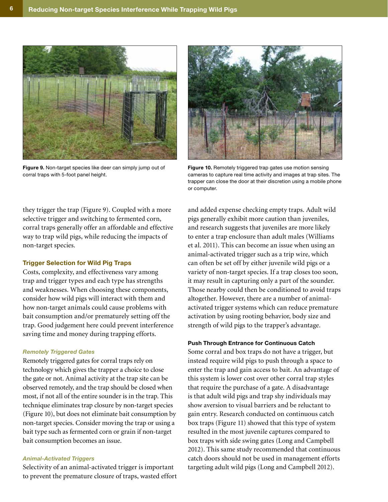

**Figure 9.** Non-target species like deer can simply jump out of corral traps with 5-foot panel height.



**Figure 10.** Remotely triggered trap gates use motion sensing cameras to capture real time activity and images at trap sites. The trapper can close the door at their discretion using a mobile phone or computer.

they trigger the trap (Figure 9). Coupled with a more selective trigger and switching to fermented corn, corral traps generally offer an affordable and effective way to trap wild pigs, while reducing the impacts of non-target species.

## **Trigger Selection for Wild Pig Traps**

Costs, complexity, and effectiveness vary among trap and trigger types and each type has strengths and weaknesses. When choosing these components, consider how wild pigs will interact with them and how non-target animals could cause problems with bait consumption and/or prematurely setting off the trap. Good judgement here could prevent interference saving time and money during trapping efforts.

# *Remotely Triggered Gates*

Remotely triggered gates for corral traps rely on technology which gives the trapper a choice to close the gate or not. Animal activity at the trap site can be observed remotely, and the trap should be closed when most, if not all of the entire sounder is in the trap. This technique eliminates trap closure by non-target species (Figure 10), but does not eliminate bait consumption by non-target species. Consider moving the trap or using a bait type such as fermented corn or grain if non-target bait consumption becomes an issue.

#### *Animal-Activated Triggers*

Selectivity of an animal-activated trigger is important to prevent the premature closure of traps, wasted effort

and added expense checking empty traps. Adult wild pigs generally exhibit more caution than juveniles, and research suggests that juveniles are more likely to enter a trap enclosure than adult males (Williams et al. 2011). This can become an issue when using an animal-activated trigger such as a trip wire, which can often be set off by either juvenile wild pigs or a variety of non-target species. If a trap closes too soon, it may result in capturing only a part of the sounder. Those nearby could then be conditioned to avoid traps altogether. However, there are a number of animalactivated trigger systems which can reduce premature activation by using rooting behavior, body size and strength of wild pigs to the trapper's advantage.

#### **Push Through Entrance for Continuous Catch**

Some corral and box traps do not have a trigger, but instead require wild pigs to push through a space to enter the trap and gain access to bait. An advantage of this system is lower cost over other corral trap styles that require the purchase of a gate. A disadvantage is that adult wild pigs and trap shy individuals may show aversion to visual barriers and be reluctant to gain entry. Research conducted on continuous catch box traps (Figure 11) showed that this type of system resulted in the most juvenile captures compared to box traps with side swing gates (Long and Campbell 2012). This same study recommended that continuous catch doors should not be used in management efforts targeting adult wild pigs (Long and Campbell 2012).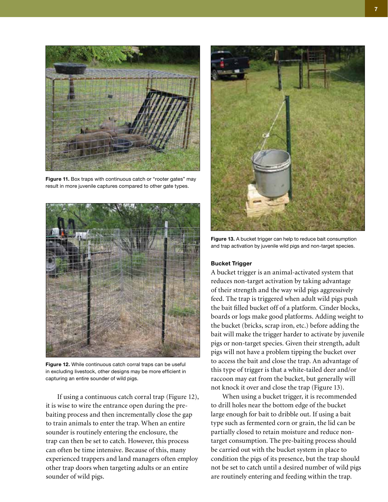

**Figure 11.** Box traps with continuous catch or "rooter gates" may result in more juvenile captures compared to other gate types.



**Figure 12.** While continuous catch corral traps can be useful in excluding livestock, other designs may be more efficient in capturing an entire sounder of wild pigs.

If using a continuous catch corral trap (Figure 12), it is wise to wire the entrance open during the prebaiting process and then incrementally close the gap to train animals to enter the trap. When an entire sounder is routinely entering the enclosure, the trap can then be set to catch. However, this process can often be time intensive. Because of this, many experienced trappers and land managers often employ other trap doors when targeting adults or an entire sounder of wild pigs.



**Figure 13.** A bucket trigger can help to reduce bait consumption and trap activation by juvenile wild pigs and non-target species.

# **Bucket Trigger**

A bucket trigger is an animal-activated system that reduces non-target activation by taking advantage of their strength and the way wild pigs aggressively feed. The trap is triggered when adult wild pigs push the bait filled bucket off of a platform. Cinder blocks, boards or logs make good platforms. Adding weight to the bucket (bricks, scrap iron, etc.) before adding the bait will make the trigger harder to activate by juvenile pigs or non-target species. Given their strength, adult pigs will not have a problem tipping the bucket over to access the bait and close the trap. An advantage of this type of trigger is that a white-tailed deer and/or raccoon may eat from the bucket, but generally will not knock it over and close the trap (Figure 13).

When using a bucket trigger, it is recommended to drill holes near the bottom edge of the bucket large enough for bait to dribble out. If using a bait type such as fermented corn or grain, the lid can be partially closed to retain moisture and reduce nontarget consumption. The pre-baiting process should be carried out with the bucket system in place to condition the pigs of its presence, but the trap should not be set to catch until a desired number of wild pigs are routinely entering and feeding within the trap.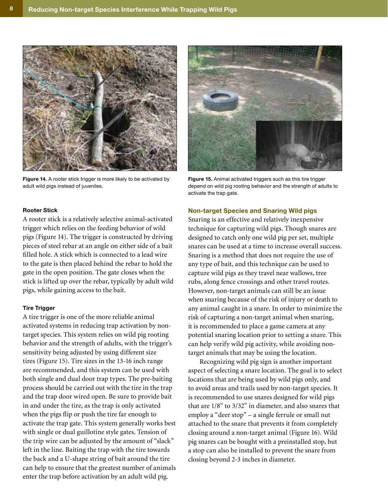

**Figure 14.** A rooter stick trigger is more likely to be activated by adult wild pigs instead of juveniles.

# **Rooter Stick**

A rooter stick is a relatively selective animal-activated trigger which relies on the feeding behavior of wild pigs (Figure 14). The trigger is constructed by driving pieces of steel rebar at an angle on either side of a bait filled hole. A stick which is connected to a lead wire to the gate is then placed behind the rebar to hold the gate in the open position. The gate closes when the stick is lifted up over the rebar, typically by adult wild pigs, while gaining access to the bait.

#### **Tire Trigger**

A tire trigger is one of the more reliable animal activated systems in reducing trap activation by nontarget species. This system relies on wild pig rooting behavior and the strength of adults, with the trigger's sensitivity being adjusted by using different size tires (Figure 15). Tire sizes in the 13-16 inch range are recommended, and this system can be used with both single and dual door trap types. The pre-baiting process should be carried out with the tire in the trap and the trap door wired open. Be sure to provide bait in and under the tire, as the trap is only activated when the pigs flip or push the tire far enough to activate the trap gate. This system generally works best with single or dual guillotine style gates. Tension of the trip wire can be adjusted by the amount of "slack" left in the line. Baiting the trap with the tire towards the back and a U-shape string of bait around the tire can help to ensure that the greatest number of animals enter the trap before activation by an adult wild pig.



**Figure 15.** Animal activated triggers such as this tire trigger depend on wild pig rooting behavior and the strength of adults to activate the trap gate.

#### **Non-target Species and Snaring Wild pigs**

Snaring is an effective and relatively inexpensive technique for capturing wild pigs. Though snares are designed to catch only one wild pig per set, multiple snares can be used at a time to increase overall success. Snaring is a method that does not require the use of any type of bait, and this technique can be used to capture wild pigs as they travel near wallows, tree rubs, along fence crossings and other travel routes. However, non-target animals can still be an issue when snaring because of the risk of injury or death to any animal caught in a snare. In order to minimize the risk of capturing a non-target animal when snaring, it is recommended to place a game camera at any potential snaring location prior to setting a snare. This can help verify wild pig activity, while avoiding nontarget animals that may be using the location.

Recognizing wild pig sign is another important aspect of selecting a snare location. The goal is to select locations that are being used by wild pigs only, and to avoid areas and trails used by non-target species. It is recommended to use snares designed for wild pigs that are 1/8" to 3/32" in diameter, and also snares that employ a "deer stop" – a single ferrule or small nut attached to the snare that prevents it from completely closing around a non-target animal (Figure 16). Wild pig snares can be bought with a preinstalled stop, but a stop can also be installed to prevent the snare from closing beyond 2-3 inches in diameter.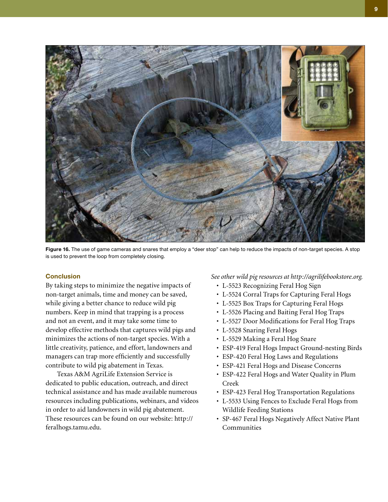

**Figure 16.** The use of game cameras and snares that employ a "deer stop" can help to reduce the impacts of non-target species. A stop is used to prevent the loop from completely closing.

# **Conclusion**

By taking steps to minimize the negative impacts of non-target animals, time and money can be saved, while giving a better chance to reduce wild pig numbers. Keep in mind that trapping is a process and not an event, and it may take some time to develop effective methods that captures wild pigs and minimizes the actions of non-target species. With a little creativity, patience, and effort, landowners and managers can trap more efficiently and successfully contribute to wild pig abatement in Texas.

Texas A&M AgriLife Extension Service is dedicated to public education, outreach, and direct technical assistance and has made available numerous resources including publications, webinars, and videos in order to aid landowners in wild pig abatement. These resources can be found on our website: http:// feralhogs.tamu.edu.

*See other wild pig resources at http://agrilifebookstore.org.*

- L-5523 Recognizing Feral Hog Sign
- L-5524 Corral Traps for Capturing Feral Hogs
- L-5525 Box Traps for Capturing Feral Hogs
- L-5526 Placing and Baiting Feral Hog Traps
- L-5527 Door Modifications for Feral Hog Traps
- L-5528 Snaring Feral Hogs
- L-5529 Making a Feral Hog Snare
- ESP-419 Feral Hogs Impact Ground-nesting Birds
- ESP-420 Feral Hog Laws and Regulations
- ESP-421 Feral Hogs and Disease Concerns
- ESP-422 Feral Hogs and Water Quality in Plum Creek
- ESP-423 Feral Hog Transportation Regulations
- L-5533 Using Fences to Exclude Feral Hogs from Wildlife Feeding Stations
- SP-467 Feral Hogs Negatively Affect Native Plant **Communities**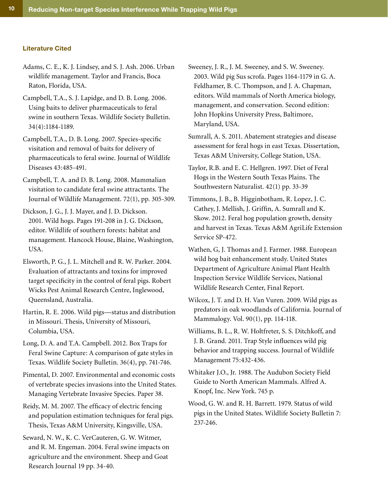#### **Literature Cited**

- Adams, C. E., K. J. Lindsey, and S. J. Ash. 2006. Urban wildlife management. Taylor and Francis, Boca Raton, Florida, USA.
- Campbell, T.A., S. J. Lapidge, and D. B. Long. 2006. Using baits to deliver pharmaceuticals to feral swine in southern Texas. Wildlife Society Bulletin. 34(4):1184-1189.
- Campbell, T.A., D. B. Long. 2007. Species-specific visitation and removal of baits for delivery of pharmaceuticals to feral swine. Journal of Wildlife Diseases 43:485-491.
- Campbell, T. A. and D. B. Long. 2008. Mammalian visitation to candidate feral swine attractants. The Journal of Wildlife Management. 72(1), pp. 305-309.
- Dickson, J. G., J. J. Mayer, and J. D. Dickson. 2001. Wild hogs. Pages 191-208 in J. G. Dickson, editor. Wildlife of southern forests: habitat and management. Hancock House, Blaine, Washington, USA.
- Elsworth, P. G., J. L. Mitchell and R. W. Parker. 2004. Evaluation of attractants and toxins for improved target specificity in the control of feral pigs. Robert Wicks Pest Animal Research Centre, Inglewood, Queensland, Australia.
- Hartin, R. E. 2006. Wild pigs—status and distribution in Missouri. Thesis, University of Missouri, Columbia, USA.
- Long, D. A. and T.A. Campbell. 2012. Box Traps for Feral Swine Capture: A comparison of gate styles in Texas. Wildlife Society Bulletin. 36(4), pp. 741-746.
- Pimental, D. 2007. Environmental and economic costs of vertebrate species invasions into the United States. Managing Vertebrate Invasive Species. Paper 38.
- Reidy, M. M. 2007. The efficacy of electric fencing and population estimation techniques for feral pigs. Thesis, Texas A&M University, Kingsville, USA.
- Seward, N. W., K. C. VerCauteren, G. W. Witmer, and R. M. Engeman. 2004. Feral swine impacts on agriculture and the environment. Sheep and Goat Research Journal 19 pp. 34-40.
- Sweeney, J. R., J. M. Sweeney, and S. W. Sweeney. 2003. Wild pig Sus scrofa. Pages 1164-1179 in G. A. Feldhamer, B. C. Thompson, and J. A. Chapman, editors. Wild mammals of North America biology, management, and conservation. Second edition: John Hopkins University Press, Baltimore, Maryland, USA.
- Sumrall, A. S. 2011. Abatement strategies and disease assessment for feral hogs in east Texas. Dissertation, Texas A&M University, College Station, USA.
- Taylor, R.B. and E. C. Hellgren. 1997. Diet of Feral Hogs in the Western South Texas Plains. The Southwestern Naturalist. 42(1) pp. 33-39
- Timmons, J. B., B. Higginbotham, R. Lopez, J. C. Cathey, J. Mellish, J. Griffin, A. Sumrall and K. Skow. 2012. Feral hog population growth, density and harvest in Texas. Texas A&M AgriLife Extension Service SP-472.
- Wathen, G, J. Thomas and J. Farmer. 1988. European wild hog bait enhancement study. United States Department of Agriculture Animal Plant Health Inspection Service Wildlife Services, National Wildlife Research Center, Final Report.
- Wilcox, J. T. and D. H. Van Vuren. 2009. Wild pigs as predators in oak woodlands of California. Journal of Mammalogy. Vol. 90(1), pp. 114-118.
- Williams, B. L., R. W. Holtfreter, S. S. Ditchkoff, and J. B. Grand. 2011. Trap Style influences wild pig behavior and trapping success. Journal of Wildlife Management 75:432-436.
- Whitaker J.O., Jr. 1988. The Audubon Society Field Guide to North American Mammals. Alfred A. Knopf, Inc. New York. 745 p.
- Wood, G. W. and R. H. Barrett. 1979. Status of wild pigs in the United States. Wildlife Society Bulletin 7: 237-246.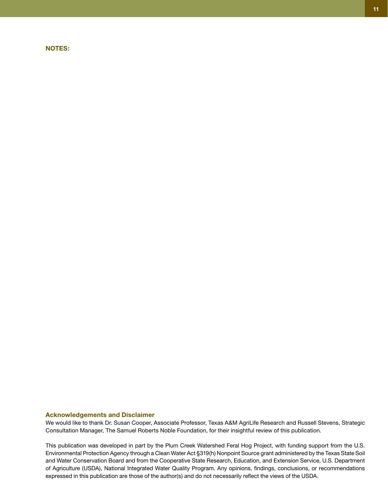#### **NOTES:**

We would like to thank Dr. Susan Cooper, Associate Professor, Texas A&M AgriLife Research and Russell Stevens, Strategic Consultation Manager, The Samuel Roberts Noble Foundation, for their insightful review of this publication.

This publication was developed in part by the Plum Creek Watershed Feral Hog Project, with funding support from the U.S. Environmental Protection Agency through a Clean Water Act §319(h) Nonpoint Source grant administered by the Texas State Soil and Water Conservation Board and from the Cooperative State Research, Education, and Extension Service, U.S. Department of Agriculture (USDA), National Integrated Water Quality Program. Any opinions, findings, conclusions, or recommendations expressed in this publication are those of the author(s) and do not necessarily reflect the views of the USDA.